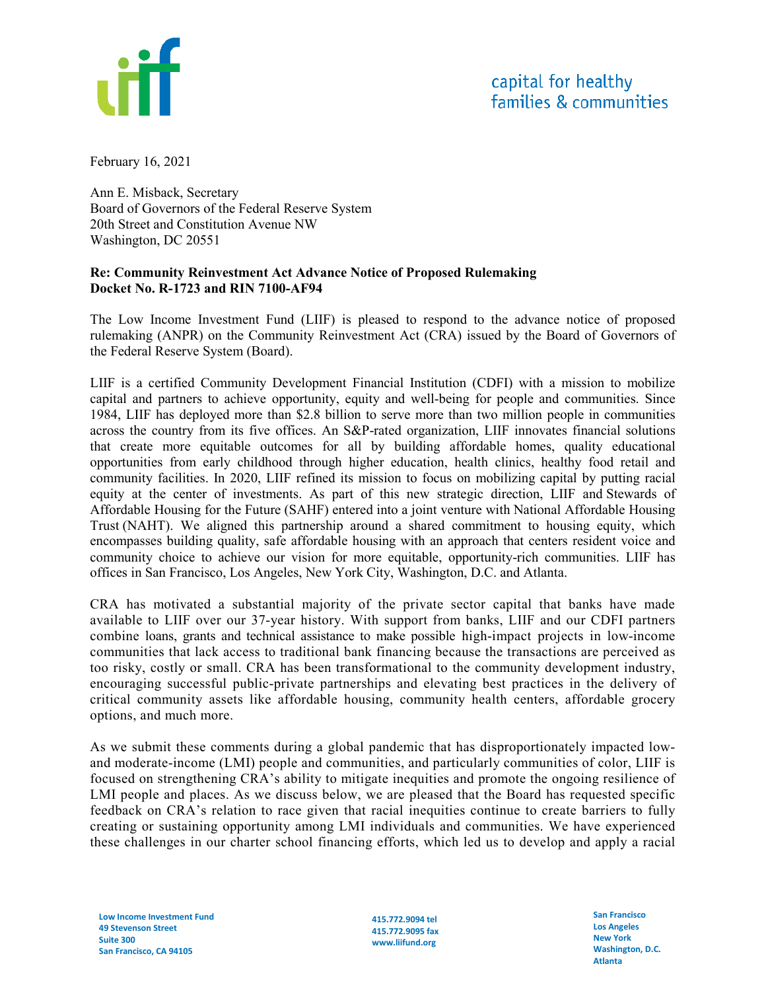

February 16, 2021

Ann E. Misback, Secretary Board of Governors of the Federal Reserve System 20th Street and Constitution Avenue NW Washington, DC 20551

### **Re: Community Reinvestment Act Advance Notice of Proposed Rulemaking Docket No. R-1723 and RIN 7100-AF94**

The Low Income Investment Fund (LIIF) is pleased to respond to the advance notice of proposed rulemaking (ANPR) on the Community Reinvestment Act (CRA) issued by the Board of Governors of the Federal Reserve System (Board).

LIIF is a certified Community Development Financial Institution (CDFI) with a mission to mobilize capital and partners to achieve opportunity, equity and well-being for people and communities. Since 1984, LIIF has deployed more than \$2.8 billion to serve more than two million people in communities across the country from its five offices. An S&P-rated organization, LIIF innovates financial solutions that create more equitable outcomes for all by building affordable homes, quality educational opportunities from early childhood through higher education, health clinics, healthy food retail and community facilities. In 2020, LIIF refined its mission to focus on mobilizing capital by putting racial equity at the center of investments. As part of this new strategic direction, LIIF and Stewards of Affordable Housing for the Future (SAHF) entered into a joint venture with National Affordable Housing Trust (NAHT). We aligned this partnership around a shared commitment to housing equity, which encompasses building quality, safe affordable housing with an approach that centers resident voice and community choice to achieve our vision for more equitable, opportunity-rich communities. LIIF has offices in San Francisco, Los Angeles, New York City, Washington, D.C. and Atlanta.

CRA has motivated a substantial majority of the private sector capital that banks have made available to LIIF over our 37-year history. With support from banks, LIIF and our CDFI partners combine loans, grants and technical assistance to make possible high-impact projects in low-income communities that lack access to traditional bank financing because the transactions are perceived as too risky, costly or small. CRA has been transformational to the community development industry, encouraging successful public-private partnerships and elevating best practices in the delivery of critical community assets like affordable housing, community health centers, affordable grocery options, and much more.

As we submit these comments during a global pandemic that has disproportionately impacted lowand moderate-income (LMI) people and communities, and particularly communities of color, LIIF is focused on strengthening CRA's ability to mitigate inequities and promote the ongoing resilience of LMI people and places. As we discuss below, we are pleased that the Board has requested specific feedback on CRA's relation to race given that racial inequities continue to create barriers to fully creating or sustaining opportunity among LMI individuals and communities. We have experienced these challenges in our charter school financing efforts, which led us to develop and apply a racial

**415.772.9094 tel 415.772.9095 fax www.liifund.org** 

**San Francisco Los Angeles New York Washington, D.C. Atlanta**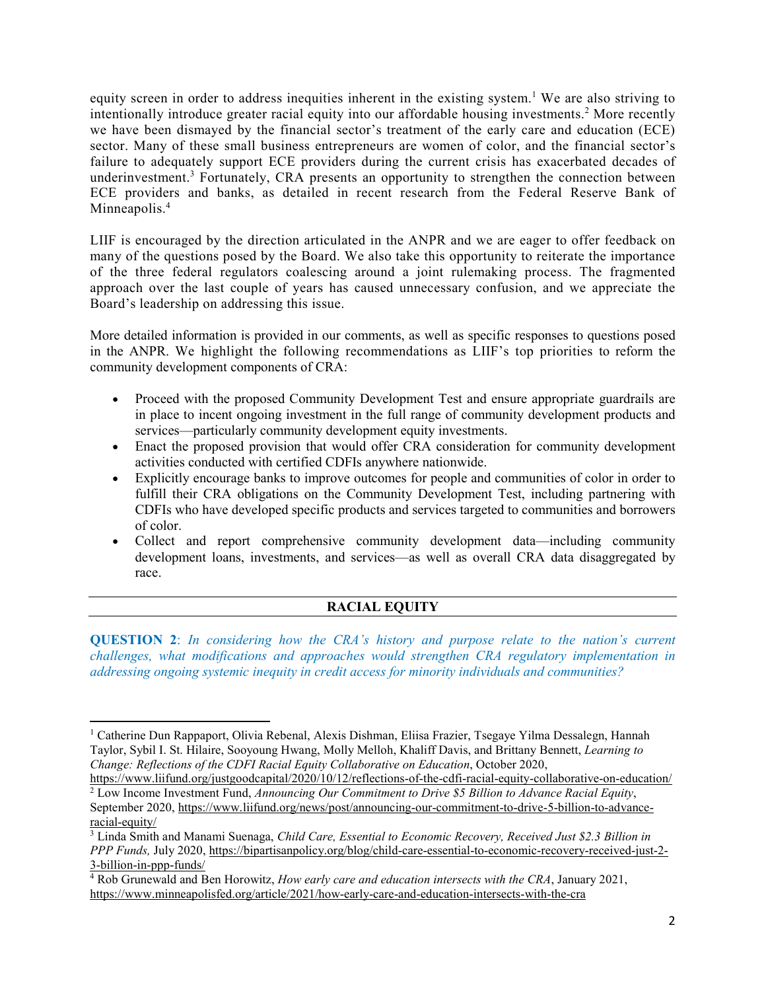equity screen in order to address inequities inherent in the existing system.<sup>[1](#page-1-0)</sup> We are also striving to intentionally introduce greater racial equity into our affordable housing investments.<sup>[2](#page-1-1)</sup> More recently we have been dismayed by the financial sector's treatment of the early care and education (ECE) sector. Many of these small business entrepreneurs are women of color, and the financial sector's failure to adequately support ECE providers during the current crisis has exacerbated decades of underinvestment.<sup>[3](#page-1-2)</sup> Fortunately, CRA presents an opportunity to strengthen the connection between ECE providers and banks, as detailed in recent research from the Federal Reserve Bank of Minneapolis.<sup>[4](#page-1-3)</sup>

LIIF is encouraged by the direction articulated in the ANPR and we are eager to offer feedback on many of the questions posed by the Board. We also take this opportunity to reiterate the importance of the three federal regulators coalescing around a joint rulemaking process. The fragmented approach over the last couple of years has caused unnecessary confusion, and we appreciate the Board's leadership on addressing this issue.

More detailed information is provided in our comments, as well as specific responses to questions posed in the ANPR. We highlight the following recommendations as LIIF's top priorities to reform the community development components of CRA:

- Proceed with the proposed Community Development Test and ensure appropriate guardrails are in place to incent ongoing investment in the full range of community development products and services—particularly community development equity investments.
- Enact the proposed provision that would offer CRA consideration for community development activities conducted with certified CDFIs anywhere nationwide.
- Explicitly encourage banks to improve outcomes for people and communities of color in order to fulfill their CRA obligations on the Community Development Test, including partnering with CDFIs who have developed specific products and services targeted to communities and borrowers of color.
- Collect and report comprehensive community development data—including community development loans, investments, and services—as well as overall CRA data disaggregated by race.

# **RACIAL EQUITY**

**QUESTION 2**: *In considering how the CRA's history and purpose relate to the nation's current challenges, what modifications and approaches would strengthen CRA regulatory implementation in addressing ongoing systemic inequity in credit access for minority individuals and communities?* 

 $\overline{a}$ 

<span id="page-1-0"></span><sup>&</sup>lt;sup>1</sup> Catherine Dun Rappaport, Olivia Rebenal, Alexis Dishman, Eliisa Frazier, Tsegaye Yilma Dessalegn, Hannah Taylor, Sybil I. St. Hilaire, Sooyoung Hwang, Molly Melloh, Khaliff Davis, and Brittany Bennett, *Learning to Change: Reflections of the CDFI Racial Equity Collaborative on Education*, October 2020,

<span id="page-1-1"></span>https://www.liifund.org/justgoodcapital/2020/10/12/reflections-of-the-cdfi-racial-equity-collaborative-on-education/ 2 Low Income Investment Fund, *Announcing Our Commitment to Drive \$5 Billion to Advance Racial Equity*,

September 2020, https://www.liifund.org/news/post/announcing-our-commitment-to-drive-5-billion-to-advanceracial-equity/

<span id="page-1-2"></span><sup>3</sup> Linda Smith and Manami Suenaga, *Child Care, Essential to Economic Recovery, Received Just \$2.3 Billion in PPP Funds,* July 2020, https://bipartisanpolicy.org/blog/child-care-essential-to-economic-recovery-received-just-2- 3-billion-in-ppp-funds/

<span id="page-1-3"></span><sup>4</sup> Rob Grunewald and Ben Horowitz, *How early care and education intersects with the CRA*, January 2021, https://www.minneapolisfed.org/article/2021/how-early-care-and-education-intersects-with-the-cra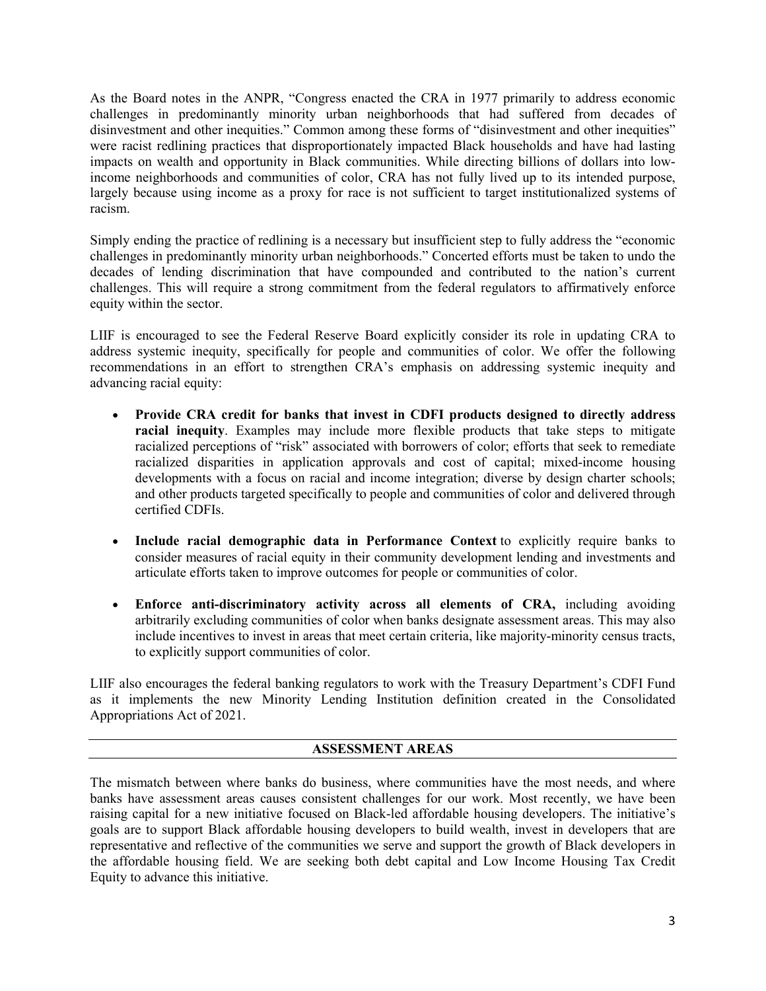As the Board notes in the ANPR, "Congress enacted the CRA in 1977 primarily to address economic challenges in predominantly minority urban neighborhoods that had suffered from decades of disinvestment and other inequities." Common among these forms of "disinvestment and other inequities" were racist redlining practices that disproportionately impacted Black households and have had lasting impacts on wealth and opportunity in Black communities. While directing billions of dollars into lowincome neighborhoods and communities of color, CRA has not fully lived up to its intended purpose, largely because using income as a proxy for race is not sufficient to target institutionalized systems of racism.

Simply ending the practice of redlining is a necessary but insufficient step to fully address the "economic challenges in predominantly minority urban neighborhoods." Concerted efforts must be taken to undo the decades of lending discrimination that have compounded and contributed to the nation's current challenges. This will require a strong commitment from the federal regulators to affirmatively enforce equity within the sector.

LIIF is encouraged to see the Federal Reserve Board explicitly consider its role in updating CRA to address systemic inequity, specifically for people and communities of color. We offer the following recommendations in an effort to strengthen CRA's emphasis on addressing systemic inequity and advancing racial equity:

- **Provide CRA credit for banks that invest in CDFI products designed to directly address racial inequity**. Examples may include more flexible products that take steps to mitigate racialized perceptions of "risk" associated with borrowers of color; efforts that seek to remediate racialized disparities in application approvals and cost of capital; mixed-income housing developments with a focus on racial and income integration; diverse by design charter schools; and other products targeted specifically to people and communities of color and delivered through certified CDFIs.
- **Include racial demographic data in Performance Context** to explicitly require banks to consider measures of racial equity in their community development lending and investments and articulate efforts taken to improve outcomes for people or communities of color.
- **Enforce anti-discriminatory activity across all elements of CRA,** including avoiding arbitrarily excluding communities of color when banks designate assessment areas. This may also include incentives to invest in areas that meet certain criteria, like majority-minority census tracts, to explicitly support communities of color.

LIIF also encourages the federal banking regulators to work with the Treasury Department's CDFI Fund as it implements the new Minority Lending Institution definition created in the Consolidated Appropriations Act of 2021.

### **ASSESSMENT AREAS**

The mismatch between where banks do business, where communities have the most needs, and where banks have assessment areas causes consistent challenges for our work. Most recently, we have been raising capital for a new initiative focused on Black-led affordable housing developers. The initiative's goals are to support Black affordable housing developers to build wealth, invest in developers that are representative and reflective of the communities we serve and support the growth of Black developers in the affordable housing field. We are seeking both debt capital and Low Income Housing Tax Credit Equity to advance this initiative.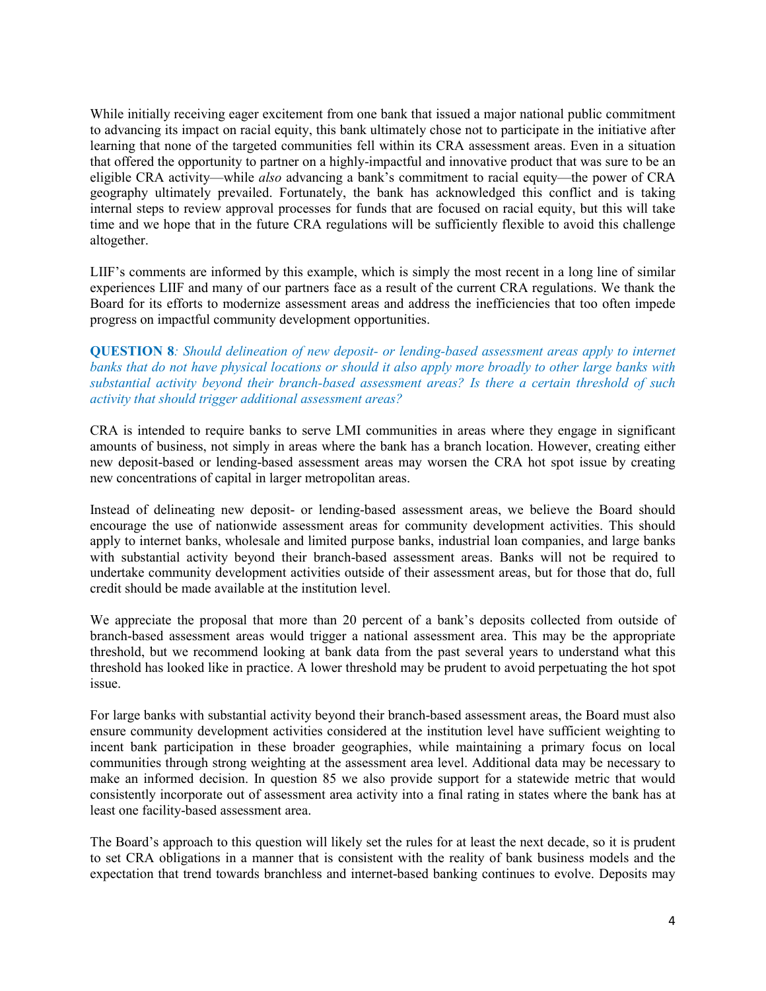While initially receiving eager excitement from one bank that issued a major national public commitment to advancing its impact on racial equity, this bank ultimately chose not to participate in the initiative after learning that none of the targeted communities fell within its CRA assessment areas. Even in a situation that offered the opportunity to partner on a highly-impactful and innovative product that was sure to be an eligible CRA activity—while *also* advancing a bank's commitment to racial equity—the power of CRA geography ultimately prevailed. Fortunately, the bank has acknowledged this conflict and is taking internal steps to review approval processes for funds that are focused on racial equity, but this will take time and we hope that in the future CRA regulations will be sufficiently flexible to avoid this challenge altogether.

LIIF's comments are informed by this example, which is simply the most recent in a long line of similar experiences LIIF and many of our partners face as a result of the current CRA regulations. We thank the Board for its efforts to modernize assessment areas and address the inefficiencies that too often impede progress on impactful community development opportunities.

**QUESTION 8***: Should delineation of new deposit- or lending-based assessment areas apply to internet banks that do not have physical locations or should it also apply more broadly to other large banks with substantial activity beyond their branch-based assessment areas? Is there a certain threshold of such activity that should trigger additional assessment areas?* 

CRA is intended to require banks to serve LMI communities in areas where they engage in significant amounts of business, not simply in areas where the bank has a branch location. However, creating either new deposit-based or lending-based assessment areas may worsen the CRA hot spot issue by creating new concentrations of capital in larger metropolitan areas.

Instead of delineating new deposit- or lending-based assessment areas, we believe the Board should encourage the use of nationwide assessment areas for community development activities. This should apply to internet banks, wholesale and limited purpose banks, industrial loan companies, and large banks with substantial activity beyond their branch-based assessment areas. Banks will not be required to undertake community development activities outside of their assessment areas, but for those that do, full credit should be made available at the institution level.

We appreciate the proposal that more than 20 percent of a bank's deposits collected from outside of branch-based assessment areas would trigger a national assessment area. This may be the appropriate threshold, but we recommend looking at bank data from the past several years to understand what this threshold has looked like in practice. A lower threshold may be prudent to avoid perpetuating the hot spot issue.

For large banks with substantial activity beyond their branch-based assessment areas, the Board must also ensure community development activities considered at the institution level have sufficient weighting to incent bank participation in these broader geographies, while maintaining a primary focus on local communities through strong weighting at the assessment area level. Additional data may be necessary to make an informed decision. In question 85 we also provide support for a statewide metric that would consistently incorporate out of assessment area activity into a final rating in states where the bank has at least one facility-based assessment area.

The Board's approach to this question will likely set the rules for at least the next decade, so it is prudent to set CRA obligations in a manner that is consistent with the reality of bank business models and the expectation that trend towards branchless and internet-based banking continues to evolve. Deposits may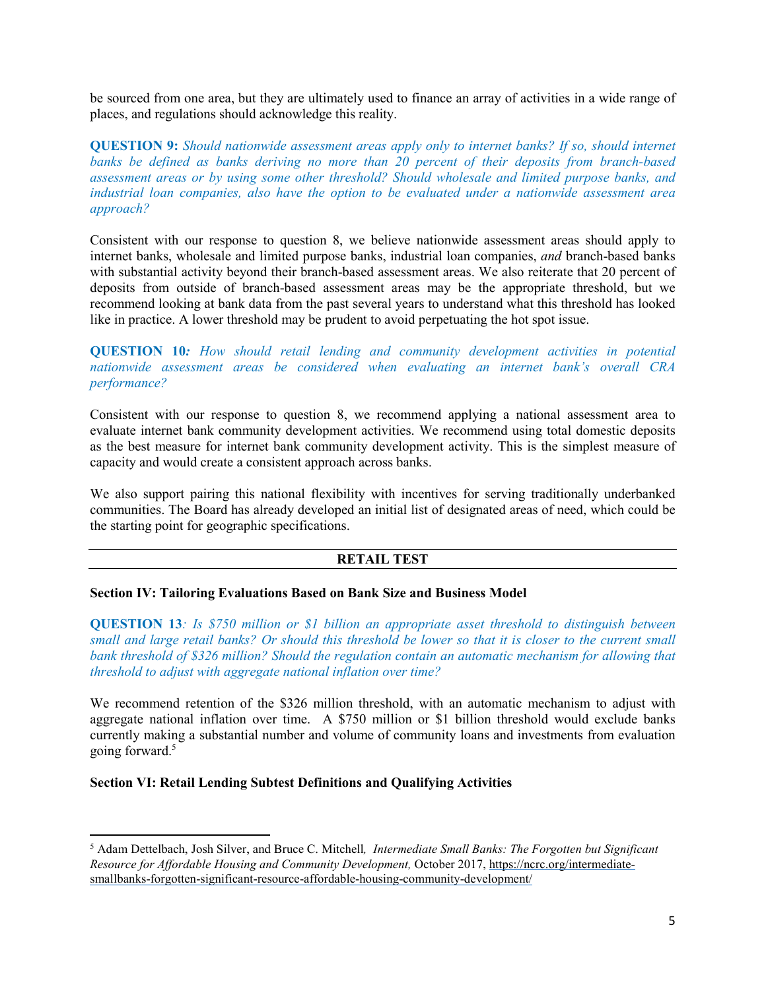be sourced from one area, but they are ultimately used to finance an array of activities in a wide range of places, and regulations should acknowledge this reality.

**QUESTION 9:** *Should nationwide assessment areas apply only to internet banks? If so, should internet banks be defined as banks deriving no more than 20 percent of their deposits from branch-based assessment areas or by using some other threshold? Should wholesale and limited purpose banks, and industrial loan companies, also have the option to be evaluated under a nationwide assessment area approach?*

Consistent with our response to question 8, we believe nationwide assessment areas should apply to internet banks, wholesale and limited purpose banks, industrial loan companies, *and* branch-based banks with substantial activity beyond their branch-based assessment areas. We also reiterate that 20 percent of deposits from outside of branch-based assessment areas may be the appropriate threshold, but we recommend looking at bank data from the past several years to understand what this threshold has looked like in practice. A lower threshold may be prudent to avoid perpetuating the hot spot issue.

**QUESTION 10***: How should retail lending and community development activities in potential nationwide assessment areas be considered when evaluating an internet bank's overall CRA performance?* 

Consistent with our response to question 8, we recommend applying a national assessment area to evaluate internet bank community development activities. We recommend using total domestic deposits as the best measure for internet bank community development activity. This is the simplest measure of capacity and would create a consistent approach across banks.

We also support pairing this national flexibility with incentives for serving traditionally underbanked communities. The Board has already developed an initial list of designated areas of need, which could be the starting point for geographic specifications.

### **RETAIL TEST**

### **Section IV: Tailoring Evaluations Based on Bank Size and Business Model**

**QUESTION 13***: Is \$750 million or \$1 billion an appropriate asset threshold to distinguish between small and large retail banks? Or should this threshold be lower so that it is closer to the current small bank threshold of \$326 million? Should the regulation contain an automatic mechanism for allowing that threshold to adjust with aggregate national inflation over time?* 

We recommend retention of the \$326 million threshold, with an automatic mechanism to adjust with aggregate national inflation over time. A \$750 million or \$1 billion threshold would exclude banks currently making a substantial number and volume of community loans and investments from evaluation going forward.[5](#page-4-0)

### **Section VI: Retail Lending Subtest Definitions and Qualifying Activities**

l

<span id="page-4-0"></span><sup>5</sup> Adam Dettelbach, Josh Silver, and Bruce C. Mitchell*, Intermediate Small Banks: The Forgotten but Significant Resource for Affordable Housing and Community Development,* October 2017, https://ncrc.org/intermediatesmallbanks-forgotten-significant-resource-affordable-housing-community-development/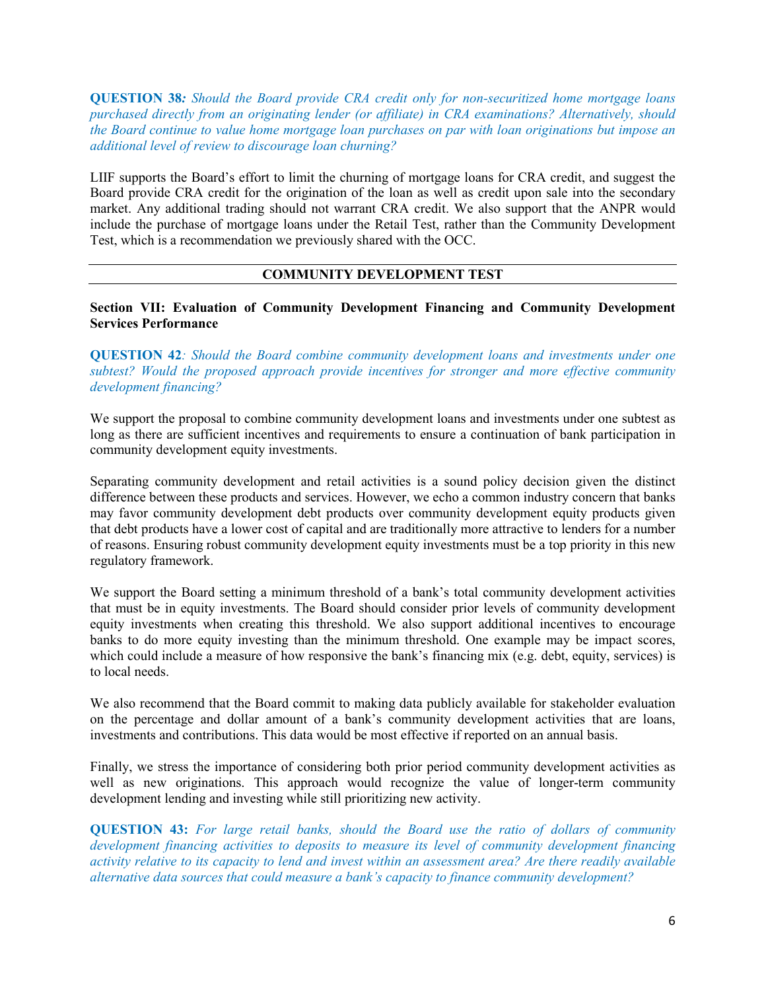**QUESTION 38***: Should the Board provide CRA credit only for non-securitized home mortgage loans purchased directly from an originating lender (or affiliate) in CRA examinations? Alternatively, should the Board continue to value home mortgage loan purchases on par with loan originations but impose an additional level of review to discourage loan churning?* 

LIIF supports the Board's effort to limit the churning of mortgage loans for CRA credit, and suggest the Board provide CRA credit for the origination of the loan as well as credit upon sale into the secondary market. Any additional trading should not warrant CRA credit. We also support that the ANPR would include the purchase of mortgage loans under the Retail Test, rather than the Community Development Test, which is a recommendation we previously shared with the OCC.

### **COMMUNITY DEVELOPMENT TEST**

**Section VII: Evaluation of Community Development Financing and Community Development Services Performance** 

**QUESTION 42***: Should the Board combine community development loans and investments under one subtest? Would the proposed approach provide incentives for stronger and more effective community development financing?* 

We support the proposal to combine community development loans and investments under one subtest as long as there are sufficient incentives and requirements to ensure a continuation of bank participation in community development equity investments.

Separating community development and retail activities is a sound policy decision given the distinct difference between these products and services. However, we echo a common industry concern that banks may favor community development debt products over community development equity products given that debt products have a lower cost of capital and are traditionally more attractive to lenders for a number of reasons. Ensuring robust community development equity investments must be a top priority in this new regulatory framework.

We support the Board setting a minimum threshold of a bank's total community development activities that must be in equity investments. The Board should consider prior levels of community development equity investments when creating this threshold. We also support additional incentives to encourage banks to do more equity investing than the minimum threshold. One example may be impact scores, which could include a measure of how responsive the bank's financing mix (e.g. debt, equity, services) is to local needs.

We also recommend that the Board commit to making data publicly available for stakeholder evaluation on the percentage and dollar amount of a bank's community development activities that are loans, investments and contributions. This data would be most effective if reported on an annual basis.

Finally, we stress the importance of considering both prior period community development activities as well as new originations. This approach would recognize the value of longer-term community development lending and investing while still prioritizing new activity.

**QUESTION 43:** *For large retail banks, should the Board use the ratio of dollars of community development financing activities to deposits to measure its level of community development financing activity relative to its capacity to lend and invest within an assessment area? Are there readily available alternative data sources that could measure a bank's capacity to finance community development?*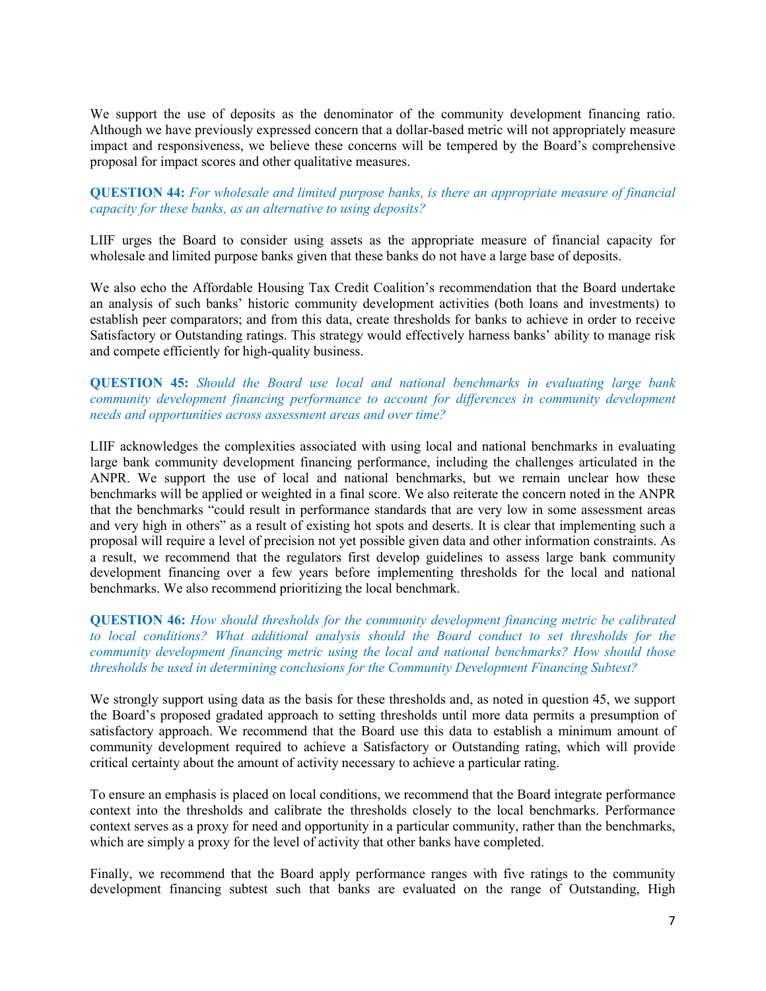We support the use of deposits as the denominator of the community development financing ratio. Although we have previously expressed concern that a dollar-based metric will not appropriately measure impact and responsiveness, we believe these concerns will be tempered by the Board's comprehensive proposal for impact scores and other qualitative measures.

### **QUESTION 44:** *For wholesale and limited purpose banks, is there an appropriate measure of financial capacity for these banks, as an alternative to using deposits?*

LIIF urges the Board to consider using assets as the appropriate measure of financial capacity for wholesale and limited purpose banks given that these banks do not have a large base of deposits.

We also echo the Affordable Housing Tax Credit Coalition's recommendation that the Board undertake an analysis of such banks' historic community development activities (both loans and investments) to establish peer comparators; and from this data, create thresholds for banks to achieve in order to receive Satisfactory or Outstanding ratings. This strategy would effectively harness banks' ability to manage risk and compete efficiently for high-quality business.

#### **QUESTION 45:** *Should the Board use local and national benchmarks in evaluating large bank community development financing performance to account for differences in community development needs and opportunities across assessment areas and over time?*

LIIF acknowledges the complexities associated with using local and national benchmarks in evaluating large bank community development financing performance, including the challenges articulated in the ANPR. We support the use of local and national benchmarks, but we remain unclear how these benchmarks will be applied or weighted in a final score. We also reiterate the concern noted in the ANPR that the benchmarks "could result in performance standards that are very low in some assessment areas and very high in others" as a result of existing hot spots and deserts. It is clear that implementing such a proposal will require a level of precision not yet possible given data and other information constraints. As a result, we recommend that the regulators first develop guidelines to assess large bank community development financing over a few years before implementing thresholds for the local and national benchmarks. We also recommend prioritizing the local benchmark.

### **QUESTION 46:** *How should thresholds for the community development financing metric be calibrated to local conditions? What additional analysis should the Board conduct to set thresholds for the community development financing metric using the local and national benchmarks? How should those thresholds be used in determining conclusions for the Community Development Financing Subtest?*

We strongly support using data as the basis for these thresholds and, as noted in question 45, we support the Board's proposed gradated approach to setting thresholds until more data permits a presumption of satisfactory approach. We recommend that the Board use this data to establish a minimum amount of community development required to achieve a Satisfactory or Outstanding rating, which will provide critical certainty about the amount of activity necessary to achieve a particular rating.

To ensure an emphasis is placed on local conditions, we recommend that the Board integrate performance context into the thresholds and calibrate the thresholds closely to the local benchmarks. Performance context serves as a proxy for need and opportunity in a particular community, rather than the benchmarks, which are simply a proxy for the level of activity that other banks have completed.

Finally, we recommend that the Board apply performance ranges with five ratings to the community development financing subtest such that banks are evaluated on the range of Outstanding, High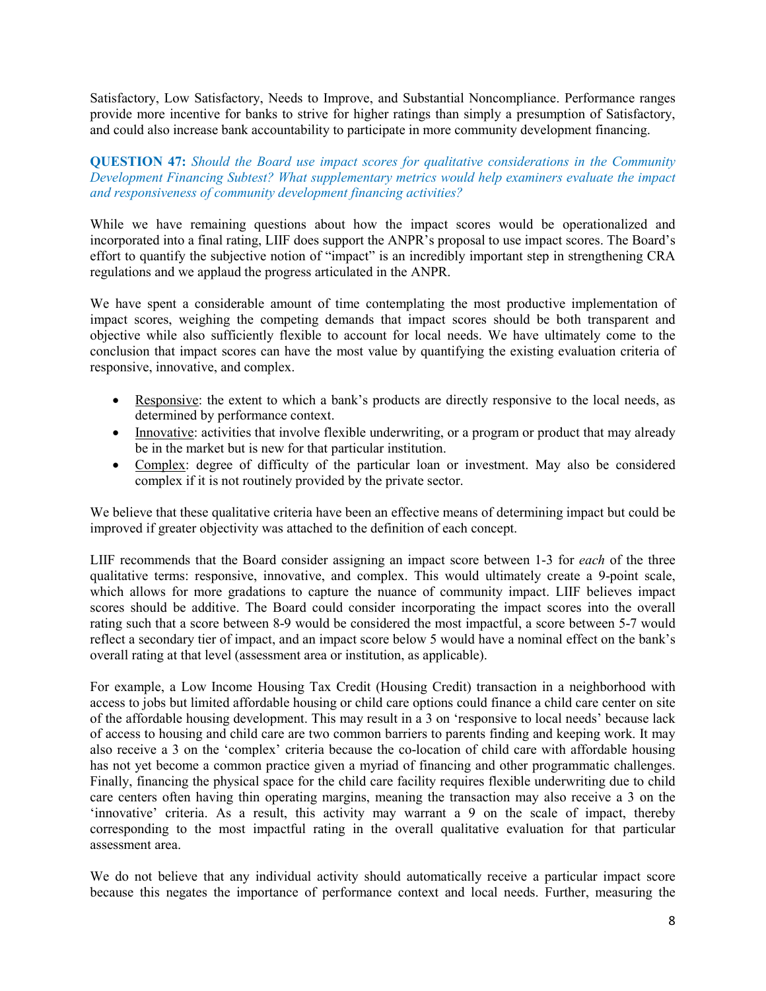Satisfactory, Low Satisfactory, Needs to Improve, and Substantial Noncompliance. Performance ranges provide more incentive for banks to strive for higher ratings than simply a presumption of Satisfactory, and could also increase bank accountability to participate in more community development financing.

### **QUESTION 47:** *Should the Board use impact scores for qualitative considerations in the Community Development Financing Subtest? What supplementary metrics would help examiners evaluate the impact and responsiveness of community development financing activities?*

While we have remaining questions about how the impact scores would be operationalized and incorporated into a final rating, LIIF does support the ANPR's proposal to use impact scores. The Board's effort to quantify the subjective notion of "impact" is an incredibly important step in strengthening CRA regulations and we applaud the progress articulated in the ANPR.

We have spent a considerable amount of time contemplating the most productive implementation of impact scores, weighing the competing demands that impact scores should be both transparent and objective while also sufficiently flexible to account for local needs. We have ultimately come to the conclusion that impact scores can have the most value by quantifying the existing evaluation criteria of responsive, innovative, and complex.

- Responsive: the extent to which a bank's products are directly responsive to the local needs, as determined by performance context.
- Innovative: activities that involve flexible underwriting, or a program or product that may already be in the market but is new for that particular institution.
- Complex: degree of difficulty of the particular loan or investment. May also be considered complex if it is not routinely provided by the private sector.

We believe that these qualitative criteria have been an effective means of determining impact but could be improved if greater objectivity was attached to the definition of each concept.

LIIF recommends that the Board consider assigning an impact score between 1-3 for *each* of the three qualitative terms: responsive, innovative, and complex. This would ultimately create a 9-point scale, which allows for more gradations to capture the nuance of community impact. LIIF believes impact scores should be additive. The Board could consider incorporating the impact scores into the overall rating such that a score between 8-9 would be considered the most impactful, a score between 5-7 would reflect a secondary tier of impact, and an impact score below 5 would have a nominal effect on the bank's overall rating at that level (assessment area or institution, as applicable).

For example, a Low Income Housing Tax Credit (Housing Credit) transaction in a neighborhood with access to jobs but limited affordable housing or child care options could finance a child care center on site of the affordable housing development. This may result in a 3 on 'responsive to local needs' because lack of access to housing and child care are two common barriers to parents finding and keeping work. It may also receive a 3 on the 'complex' criteria because the co-location of child care with affordable housing has not yet become a common practice given a myriad of financing and other programmatic challenges. Finally, financing the physical space for the child care facility requires flexible underwriting due to child care centers often having thin operating margins, meaning the transaction may also receive a 3 on the 'innovative' criteria. As a result, this activity may warrant a 9 on the scale of impact, thereby corresponding to the most impactful rating in the overall qualitative evaluation for that particular assessment area.

We do not believe that any individual activity should automatically receive a particular impact score because this negates the importance of performance context and local needs. Further, measuring the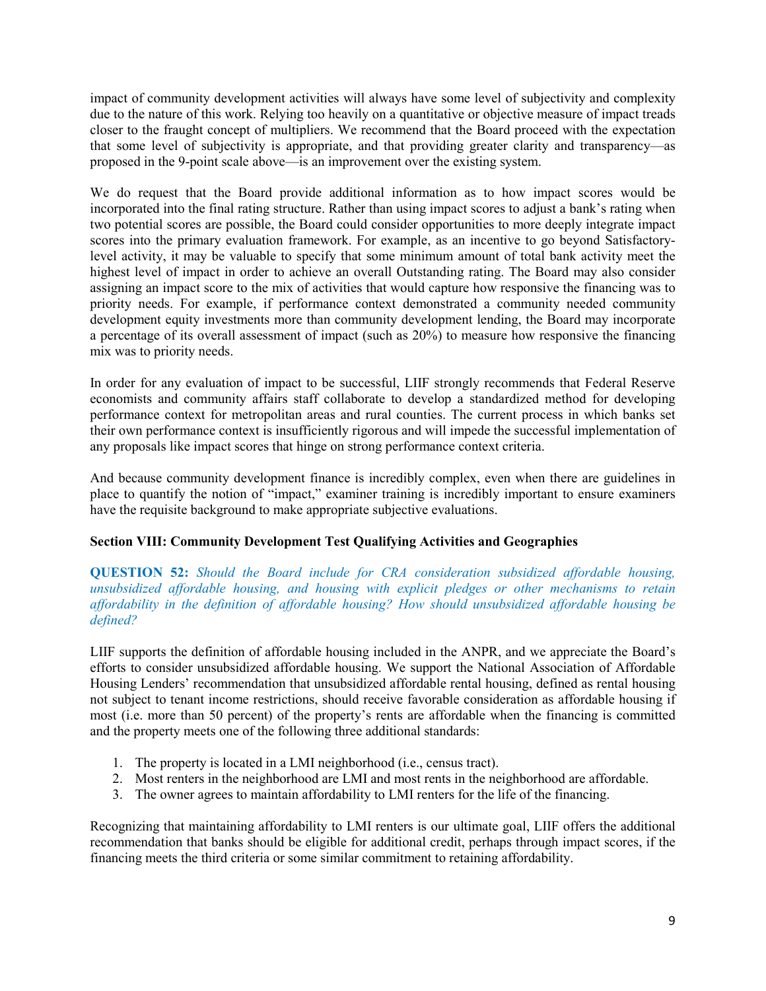impact of community development activities will always have some level of subjectivity and complexity due to the nature of this work. Relying too heavily on a quantitative or objective measure of impact treads closer to the fraught concept of multipliers. We recommend that the Board proceed with the expectation that some level of subjectivity is appropriate, and that providing greater clarity and transparency—as proposed in the 9-point scale above—is an improvement over the existing system.

We do request that the Board provide additional information as to how impact scores would be incorporated into the final rating structure. Rather than using impact scores to adjust a bank's rating when two potential scores are possible, the Board could consider opportunities to more deeply integrate impact scores into the primary evaluation framework. For example, as an incentive to go beyond Satisfactorylevel activity, it may be valuable to specify that some minimum amount of total bank activity meet the highest level of impact in order to achieve an overall Outstanding rating. The Board may also consider assigning an impact score to the mix of activities that would capture how responsive the financing was to priority needs. For example, if performance context demonstrated a community needed community development equity investments more than community development lending, the Board may incorporate a percentage of its overall assessment of impact (such as 20%) to measure how responsive the financing mix was to priority needs.

In order for any evaluation of impact to be successful, LIIF strongly recommends that Federal Reserve economists and community affairs staff collaborate to develop a standardized method for developing performance context for metropolitan areas and rural counties. The current process in which banks set their own performance context is insufficiently rigorous and will impede the successful implementation of any proposals like impact scores that hinge on strong performance context criteria.

And because community development finance is incredibly complex, even when there are guidelines in place to quantify the notion of "impact," examiner training is incredibly important to ensure examiners have the requisite background to make appropriate subjective evaluations.

## **Section VIII: Community Development Test Qualifying Activities and Geographies**

### **QUESTION 52:** *Should the Board include for CRA consideration subsidized affordable housing, unsubsidized affordable housing, and housing with explicit pledges or other mechanisms to retain affordability in the definition of affordable housing? How should unsubsidized affordable housing be defined?*

LIIF supports the definition of affordable housing included in the ANPR, and we appreciate the Board's efforts to consider unsubsidized affordable housing. We support the National Association of Affordable Housing Lenders' recommendation that unsubsidized affordable rental housing, defined as rental housing not subject to tenant income restrictions, should receive favorable consideration as affordable housing if most (i.e. more than 50 percent) of the property's rents are affordable when the financing is committed and the property meets one of the following three additional standards:

- 1. The property is located in a LMI neighborhood (i.e., census tract).
- 2. Most renters in the neighborhood are LMI and most rents in the neighborhood are affordable.
- 3. The owner agrees to maintain affordability to LMI renters for the life of the financing.

Recognizing that maintaining affordability to LMI renters is our ultimate goal, LIIF offers the additional recommendation that banks should be eligible for additional credit, perhaps through impact scores, if the financing meets the third criteria or some similar commitment to retaining affordability.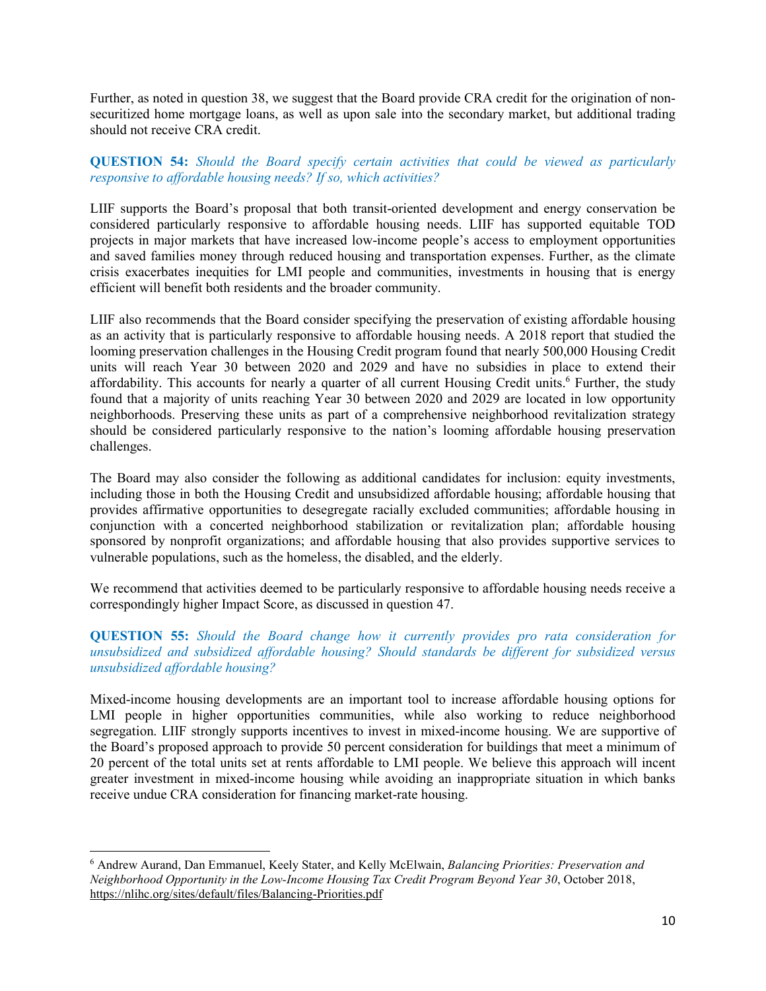Further, as noted in question 38, we suggest that the Board provide CRA credit for the origination of nonsecuritized home mortgage loans, as well as upon sale into the secondary market, but additional trading should not receive CRA credit.

### **QUESTION 54:** *Should the Board specify certain activities that could be viewed as particularly responsive to affordable housing needs? If so, which activities?*

LIIF supports the Board's proposal that both transit-oriented development and energy conservation be considered particularly responsive to affordable housing needs. LIIF has supported equitable TOD projects in major markets that have increased low-income people's access to employment opportunities and saved families money through reduced housing and transportation expenses. Further, as the climate crisis exacerbates inequities for LMI people and communities, investments in housing that is energy efficient will benefit both residents and the broader community.

LIIF also recommends that the Board consider specifying the preservation of existing affordable housing as an activity that is particularly responsive to affordable housing needs. A 2018 report that studied the looming preservation challenges in the Housing Credit program found that nearly 500,000 Housing Credit units will reach Year 30 between 2020 and 2029 and have no subsidies in place to extend their affordability. This accounts for nearly a quarter of all current Housing Credit units.<sup>[6](#page-9-0)</sup> Further, the study found that a majority of units reaching Year 30 between 2020 and 2029 are located in low opportunity neighborhoods. Preserving these units as part of a comprehensive neighborhood revitalization strategy should be considered particularly responsive to the nation's looming affordable housing preservation challenges.

The Board may also consider the following as additional candidates for inclusion: equity investments, including those in both the Housing Credit and unsubsidized affordable housing; affordable housing that provides affirmative opportunities to desegregate racially excluded communities; affordable housing in conjunction with a concerted neighborhood stabilization or revitalization plan; affordable housing sponsored by nonprofit organizations; and affordable housing that also provides supportive services to vulnerable populations, such as the homeless, the disabled, and the elderly.

We recommend that activities deemed to be particularly responsive to affordable housing needs receive a correspondingly higher Impact Score, as discussed in question 47.

**QUESTION 55:** *Should the Board change how it currently provides pro rata consideration for unsubsidized and subsidized affordable housing? Should standards be different for subsidized versus unsubsidized affordable housing?* 

Mixed-income housing developments are an important tool to increase affordable housing options for LMI people in higher opportunities communities, while also working to reduce neighborhood segregation. LIIF strongly supports incentives to invest in mixed-income housing. We are supportive of the Board's proposed approach to provide 50 percent consideration for buildings that meet a minimum of 20 percent of the total units set at rents affordable to LMI people. We believe this approach will incent greater investment in mixed-income housing while avoiding an inappropriate situation in which banks receive undue CRA consideration for financing market-rate housing.

l

<span id="page-9-0"></span><sup>6</sup> Andrew Aurand, Dan Emmanuel, Keely Stater, and Kelly McElwain, *Balancing Priorities: Preservation and Neighborhood Opportunity in the Low-Income Housing Tax Credit Program Beyond Year 30*, October 2018, https://nlihc.org/sites/default/files/Balancing-Priorities.pdf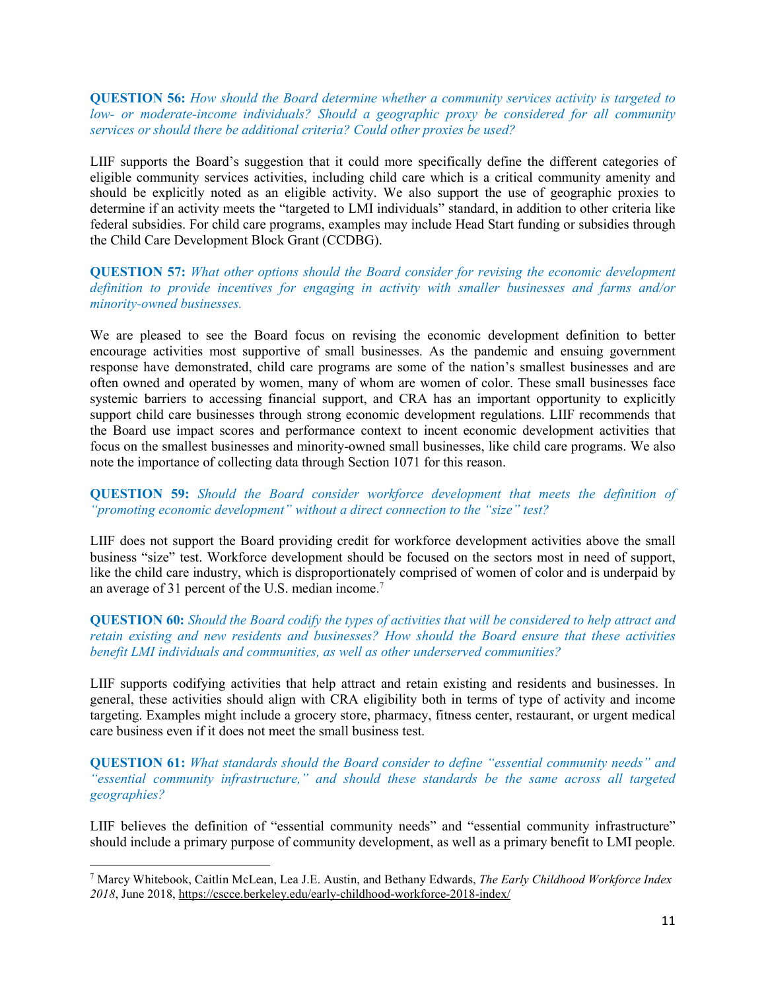**QUESTION 56:** *How should the Board determine whether a community services activity is targeted to low- or moderate-income individuals? Should a geographic proxy be considered for all community services or should there be additional criteria? Could other proxies be used?* 

LIIF supports the Board's suggestion that it could more specifically define the different categories of eligible community services activities, including child care which is a critical community amenity and should be explicitly noted as an eligible activity. We also support the use of geographic proxies to determine if an activity meets the "targeted to LMI individuals" standard, in addition to other criteria like federal subsidies. For child care programs, examples may include Head Start funding or subsidies through the Child Care Development Block Grant (CCDBG).

**QUESTION 57:** *What other options should the Board consider for revising the economic development definition to provide incentives for engaging in activity with smaller businesses and farms and/or minority-owned businesses.* 

We are pleased to see the Board focus on revising the economic development definition to better encourage activities most supportive of small businesses. As the pandemic and ensuing government response have demonstrated, child care programs are some of the nation's smallest businesses and are often owned and operated by women, many of whom are women of color. These small businesses face systemic barriers to accessing financial support, and CRA has an important opportunity to explicitly support child care businesses through strong economic development regulations. LIIF recommends that the Board use impact scores and performance context to incent economic development activities that focus on the smallest businesses and minority-owned small businesses, like child care programs. We also note the importance of collecting data through Section 1071 for this reason.

**QUESTION 59:** *Should the Board consider workforce development that meets the definition of "promoting economic development" without a direct connection to the "size" test?* 

LIIF does not support the Board providing credit for workforce development activities above the small business "size" test. Workforce development should be focused on the sectors most in need of support, like the child care industry, which is disproportionately comprised of women of color and is underpaid by an average of 31 percent of the U.S. median income. [7](#page-10-0)

### **QUESTION 60:** *Should the Board codify the types of activities that will be considered to help attract and retain existing and new residents and businesses? How should the Board ensure that these activities benefit LMI individuals and communities, as well as other underserved communities?*

LIIF supports codifying activities that help attract and retain existing and residents and businesses. In general, these activities should align with CRA eligibility both in terms of type of activity and income targeting. Examples might include a grocery store, pharmacy, fitness center, restaurant, or urgent medical care business even if it does not meet the small business test.

**QUESTION 61:** *What standards should the Board consider to define "essential community needs" and "essential community infrastructure," and should these standards be the same across all targeted geographies?* 

LIIF believes the definition of "essential community needs" and "essential community infrastructure" should include a primary purpose of community development, as well as a primary benefit to LMI people.

l

<span id="page-10-0"></span><sup>7</sup> Marcy Whitebook, Caitlin McLean, Lea J.E. Austin, and Bethany Edwards, *The Early Childhood Workforce Index 2018*, June 2018, https://cscce.berkeley.edu/early-childhood-workforce-2018-index/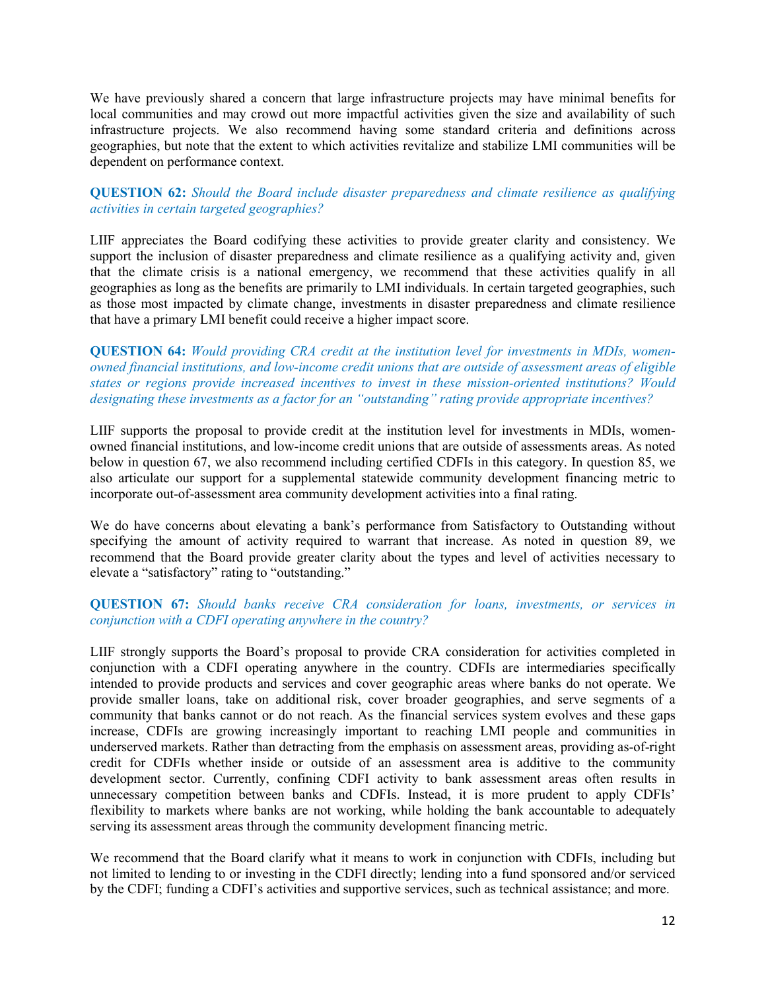We have previously shared a concern that large infrastructure projects may have minimal benefits for local communities and may crowd out more impactful activities given the size and availability of such infrastructure projects. We also recommend having some standard criteria and definitions across geographies, but note that the extent to which activities revitalize and stabilize LMI communities will be dependent on performance context.

### **QUESTION 62:** *Should the Board include disaster preparedness and climate resilience as qualifying activities in certain targeted geographies?*

LIIF appreciates the Board codifying these activities to provide greater clarity and consistency. We support the inclusion of disaster preparedness and climate resilience as a qualifying activity and, given that the climate crisis is a national emergency, we recommend that these activities qualify in all geographies as long as the benefits are primarily to LMI individuals. In certain targeted geographies, such as those most impacted by climate change, investments in disaster preparedness and climate resilience that have a primary LMI benefit could receive a higher impact score.

### **QUESTION 64:** *Would providing CRA credit at the institution level for investments in MDIs, womenowned financial institutions, and low-income credit unions that are outside of assessment areas of eligible states or regions provide increased incentives to invest in these mission-oriented institutions? Would designating these investments as a factor for an "outstanding" rating provide appropriate incentives?*

LIIF supports the proposal to provide credit at the institution level for investments in MDIs, womenowned financial institutions, and low-income credit unions that are outside of assessments areas. As noted below in question 67, we also recommend including certified CDFIs in this category. In question 85, we also articulate our support for a supplemental statewide community development financing metric to incorporate out-of-assessment area community development activities into a final rating.

We do have concerns about elevating a bank's performance from Satisfactory to Outstanding without specifying the amount of activity required to warrant that increase. As noted in question 89, we recommend that the Board provide greater clarity about the types and level of activities necessary to elevate a "satisfactory" rating to "outstanding."

### **QUESTION 67:** *Should banks receive CRA consideration for loans, investments, or services in conjunction with a CDFI operating anywhere in the country?*

LIIF strongly supports the Board's proposal to provide CRA consideration for activities completed in conjunction with a CDFI operating anywhere in the country. CDFIs are intermediaries specifically intended to provide products and services and cover geographic areas where banks do not operate. We provide smaller loans, take on additional risk, cover broader geographies, and serve segments of a community that banks cannot or do not reach. As the financial services system evolves and these gaps increase, CDFIs are growing increasingly important to reaching LMI people and communities in underserved markets. Rather than detracting from the emphasis on assessment areas, providing as-of-right credit for CDFIs whether inside or outside of an assessment area is additive to the community development sector. Currently, confining CDFI activity to bank assessment areas often results in unnecessary competition between banks and CDFIs. Instead, it is more prudent to apply CDFIs' flexibility to markets where banks are not working, while holding the bank accountable to adequately serving its assessment areas through the community development financing metric.

We recommend that the Board clarify what it means to work in conjunction with CDFIs, including but not limited to lending to or investing in the CDFI directly; lending into a fund sponsored and/or serviced by the CDFI; funding a CDFI's activities and supportive services, such as technical assistance; and more.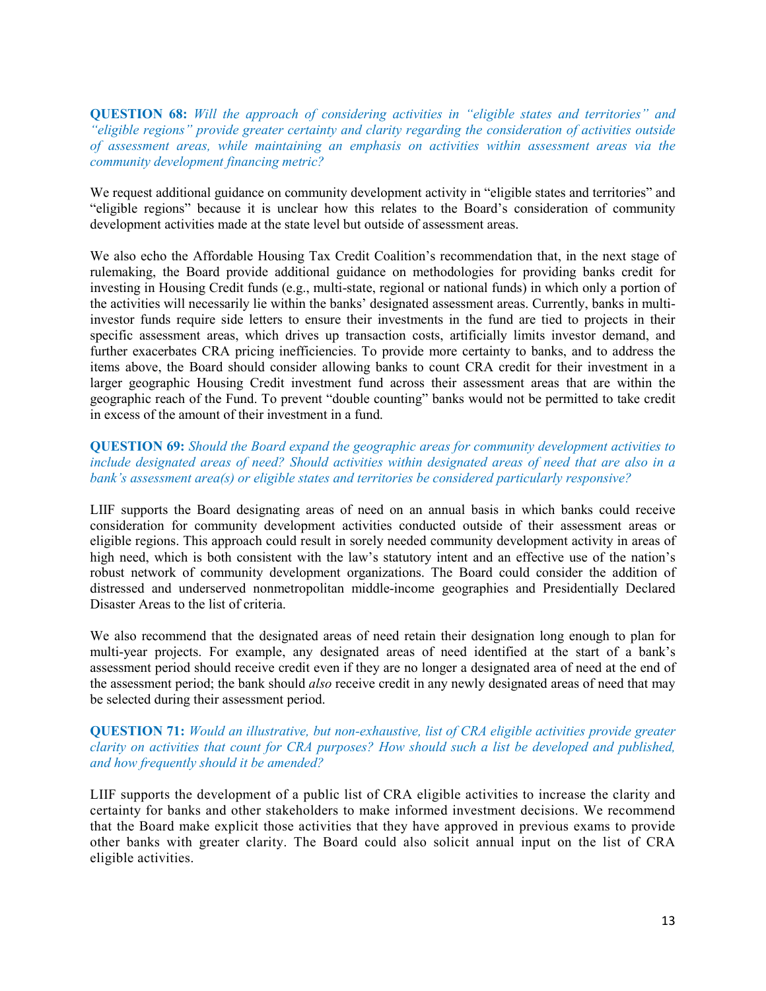**QUESTION 68:** *Will the approach of considering activities in "eligible states and territories" and "eligible regions" provide greater certainty and clarity regarding the consideration of activities outside of assessment areas, while maintaining an emphasis on activities within assessment areas via the community development financing metric?* 

We request additional guidance on community development activity in "eligible states and territories" and "eligible regions" because it is unclear how this relates to the Board's consideration of community development activities made at the state level but outside of assessment areas.

We also echo the Affordable Housing Tax Credit Coalition's recommendation that, in the next stage of rulemaking, the Board provide additional guidance on methodologies for providing banks credit for investing in Housing Credit funds (e.g., multi-state, regional or national funds) in which only a portion of the activities will necessarily lie within the banks' designated assessment areas. Currently, banks in multiinvestor funds require side letters to ensure their investments in the fund are tied to projects in their specific assessment areas, which drives up transaction costs, artificially limits investor demand, and further exacerbates CRA pricing inefficiencies. To provide more certainty to banks, and to address the items above, the Board should consider allowing banks to count CRA credit for their investment in a larger geographic Housing Credit investment fund across their assessment areas that are within the geographic reach of the Fund. To prevent "double counting" banks would not be permitted to take credit in excess of the amount of their investment in a fund.

### **QUESTION 69:** *Should the Board expand the geographic areas for community development activities to include designated areas of need? Should activities within designated areas of need that are also in a bank's assessment area(s) or eligible states and territories be considered particularly responsive?*

LIIF supports the Board designating areas of need on an annual basis in which banks could receive consideration for community development activities conducted outside of their assessment areas or eligible regions. This approach could result in sorely needed community development activity in areas of high need, which is both consistent with the law's statutory intent and an effective use of the nation's robust network of community development organizations. The Board could consider the addition of distressed and underserved nonmetropolitan middle-income geographies and Presidentially Declared Disaster Areas to the list of criteria.

We also recommend that the designated areas of need retain their designation long enough to plan for multi-year projects. For example, any designated areas of need identified at the start of a bank's assessment period should receive credit even if they are no longer a designated area of need at the end of the assessment period; the bank should *also* receive credit in any newly designated areas of need that may be selected during their assessment period.

### **QUESTION 71:** *Would an illustrative, but non-exhaustive, list of CRA eligible activities provide greater clarity on activities that count for CRA purposes? How should such a list be developed and published, and how frequently should it be amended?*

LIIF supports the development of a public list of CRA eligible activities to increase the clarity and certainty for banks and other stakeholders to make informed investment decisions. We recommend that the Board make explicit those activities that they have approved in previous exams to provide other banks with greater clarity. The Board could also solicit annual input on the list of CRA eligible activities.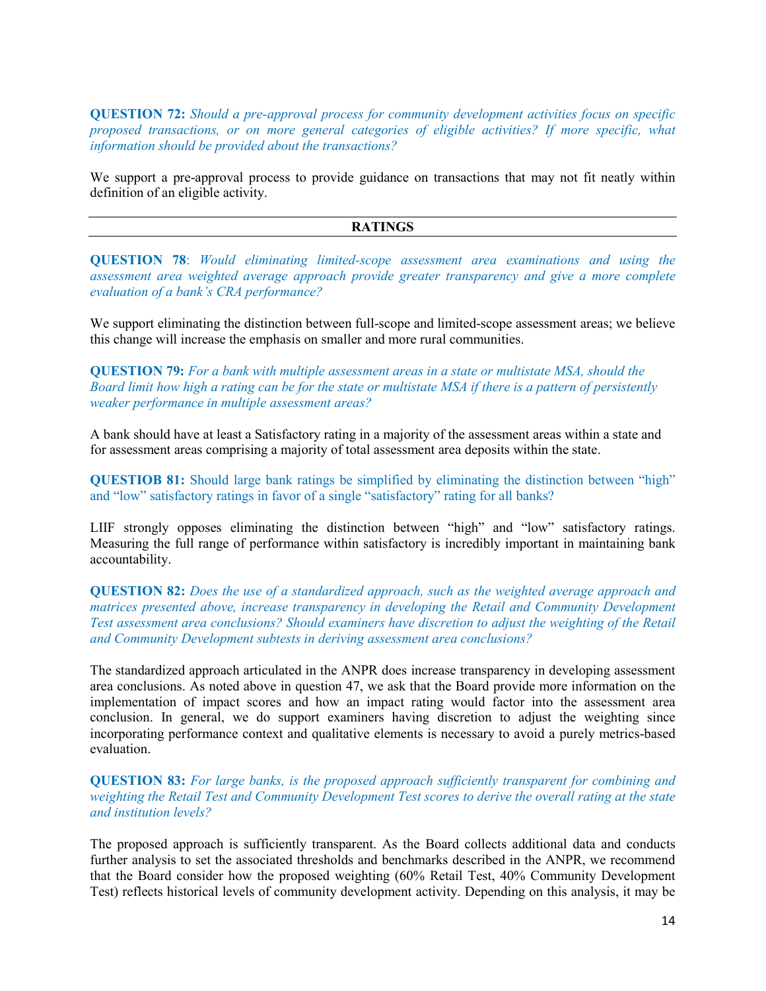**QUESTION 72:** *Should a pre-approval process for community development activities focus on specific proposed transactions, or on more general categories of eligible activities? If more specific, what information should be provided about the transactions?* 

We support a pre-approval process to provide guidance on transactions that may not fit neatly within definition of an eligible activity.

#### **RATINGS**

**QUESTION 78**: *Would eliminating limited-scope assessment area examinations and using the assessment area weighted average approach provide greater transparency and give a more complete evaluation of a bank's CRA performance?*

We support eliminating the distinction between full-scope and limited-scope assessment areas; we believe this change will increase the emphasis on smaller and more rural communities.

**QUESTION 79:** *For a bank with multiple assessment areas in a state or multistate MSA, should the Board limit how high a rating can be for the state or multistate MSA if there is a pattern of persistently weaker performance in multiple assessment areas?* 

A bank should have at least a Satisfactory rating in a majority of the assessment areas within a state and for assessment areas comprising a majority of total assessment area deposits within the state.

**QUESTIOB 81:** Should large bank ratings be simplified by eliminating the distinction between "high" and "low" satisfactory ratings in favor of a single "satisfactory" rating for all banks?

LIIF strongly opposes eliminating the distinction between "high" and "low" satisfactory ratings. Measuring the full range of performance within satisfactory is incredibly important in maintaining bank accountability.

**QUESTION 82:** *Does the use of a standardized approach, such as the weighted average approach and matrices presented above, increase transparency in developing the Retail and Community Development Test assessment area conclusions? Should examiners have discretion to adjust the weighting of the Retail and Community Development subtests in deriving assessment area conclusions?* 

The standardized approach articulated in the ANPR does increase transparency in developing assessment area conclusions. As noted above in question 47, we ask that the Board provide more information on the implementation of impact scores and how an impact rating would factor into the assessment area conclusion. In general, we do support examiners having discretion to adjust the weighting since incorporating performance context and qualitative elements is necessary to avoid a purely metrics-based evaluation.

**QUESTION 83:** *For large banks, is the proposed approach sufficiently transparent for combining and weighting the Retail Test and Community Development Test scores to derive the overall rating at the state and institution levels?* 

The proposed approach is sufficiently transparent. As the Board collects additional data and conducts further analysis to set the associated thresholds and benchmarks described in the ANPR, we recommend that the Board consider how the proposed weighting (60% Retail Test, 40% Community Development Test) reflects historical levels of community development activity. Depending on this analysis, it may be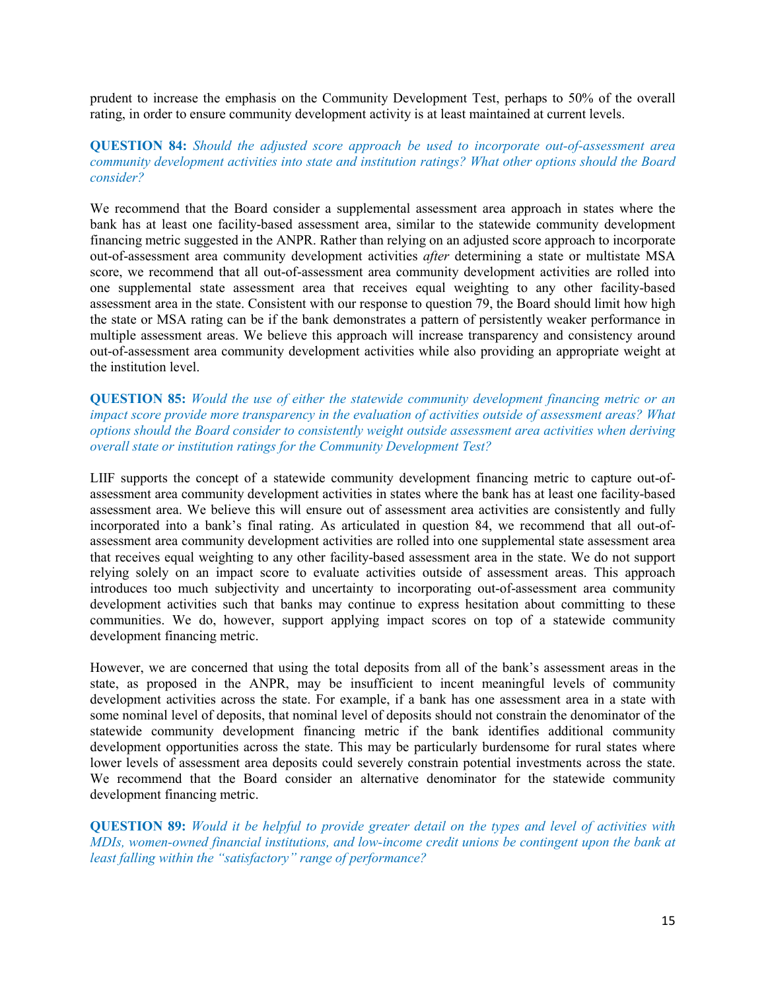prudent to increase the emphasis on the Community Development Test, perhaps to 50% of the overall rating, in order to ensure community development activity is at least maintained at current levels.

### **QUESTION 84:** *Should the adjusted score approach be used to incorporate out-of-assessment area community development activities into state and institution ratings? What other options should the Board consider?*

We recommend that the Board consider a supplemental assessment area approach in states where the bank has at least one facility-based assessment area, similar to the statewide community development financing metric suggested in the ANPR. Rather than relying on an adjusted score approach to incorporate out-of-assessment area community development activities *after* determining a state or multistate MSA score, we recommend that all out-of-assessment area community development activities are rolled into one supplemental state assessment area that receives equal weighting to any other facility-based assessment area in the state. Consistent with our response to question 79, the Board should limit how high the state or MSA rating can be if the bank demonstrates a pattern of persistently weaker performance in multiple assessment areas. We believe this approach will increase transparency and consistency around out-of-assessment area community development activities while also providing an appropriate weight at the institution level.

**QUESTION 85:** *Would the use of either the statewide community development financing metric or an impact score provide more transparency in the evaluation of activities outside of assessment areas? What options should the Board consider to consistently weight outside assessment area activities when deriving overall state or institution ratings for the Community Development Test?* 

LIIF supports the concept of a statewide community development financing metric to capture out-ofassessment area community development activities in states where the bank has at least one facility-based assessment area. We believe this will ensure out of assessment area activities are consistently and fully incorporated into a bank's final rating. As articulated in question 84, we recommend that all out-ofassessment area community development activities are rolled into one supplemental state assessment area that receives equal weighting to any other facility-based assessment area in the state. We do not support relying solely on an impact score to evaluate activities outside of assessment areas. This approach introduces too much subjectivity and uncertainty to incorporating out-of-assessment area community development activities such that banks may continue to express hesitation about committing to these communities. We do, however, support applying impact scores on top of a statewide community development financing metric.

However, we are concerned that using the total deposits from all of the bank's assessment areas in the state, as proposed in the ANPR, may be insufficient to incent meaningful levels of community development activities across the state. For example, if a bank has one assessment area in a state with some nominal level of deposits, that nominal level of deposits should not constrain the denominator of the statewide community development financing metric if the bank identifies additional community development opportunities across the state. This may be particularly burdensome for rural states where lower levels of assessment area deposits could severely constrain potential investments across the state. We recommend that the Board consider an alternative denominator for the statewide community development financing metric.

**QUESTION 89:** *Would it be helpful to provide greater detail on the types and level of activities with MDIs, women-owned financial institutions, and low-income credit unions be contingent upon the bank at least falling within the "satisfactory" range of performance?*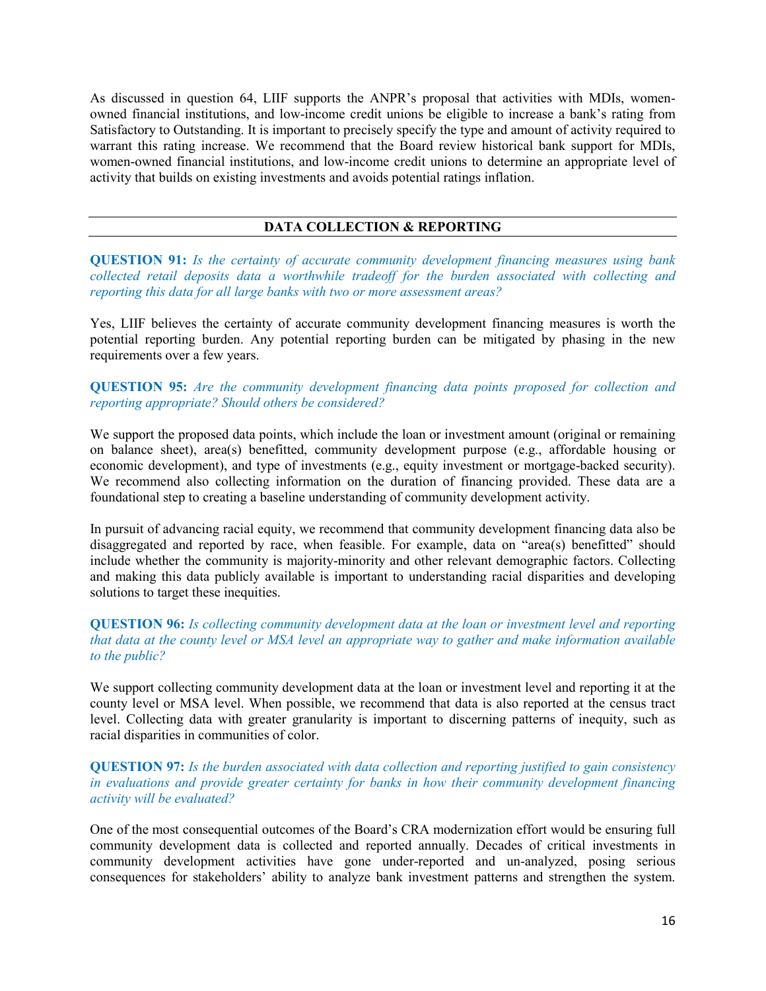As discussed in question 64, LIIF supports the ANPR's proposal that activities with MDIs, womenowned financial institutions, and low-income credit unions be eligible to increase a bank's rating from Satisfactory to Outstanding. It is important to precisely specify the type and amount of activity required to warrant this rating increase. We recommend that the Board review historical bank support for MDIs, women-owned financial institutions, and low-income credit unions to determine an appropriate level of activity that builds on existing investments and avoids potential ratings inflation.

### **DATA COLLECTION & REPORTING**

**QUESTION 91:** *Is the certainty of accurate community development financing measures using bank collected retail deposits data a worthwhile tradeoff for the burden associated with collecting and reporting this data for all large banks with two or more assessment areas?* 

Yes, LIIF believes the certainty of accurate community development financing measures is worth the potential reporting burden. Any potential reporting burden can be mitigated by phasing in the new requirements over a few years.

**QUESTION 95:** *Are the community development financing data points proposed for collection and reporting appropriate? Should others be considered?*

We support the proposed data points, which include the loan or investment amount (original or remaining on balance sheet), area(s) benefitted, community development purpose (e.g., affordable housing or economic development), and type of investments (e.g., equity investment or mortgage-backed security). We recommend also collecting information on the duration of financing provided. These data are a foundational step to creating a baseline understanding of community development activity.

In pursuit of advancing racial equity, we recommend that community development financing data also be disaggregated and reported by race, when feasible. For example, data on "area(s) benefitted" should include whether the community is majority-minority and other relevant demographic factors. Collecting and making this data publicly available is important to understanding racial disparities and developing solutions to target these inequities.

### **QUESTION 96:** *Is collecting community development data at the loan or investment level and reporting that data at the county level or MSA level an appropriate way to gather and make information available to the public?*

We support collecting community development data at the loan or investment level and reporting it at the county level or MSA level. When possible, we recommend that data is also reported at the census tract level. Collecting data with greater granularity is important to discerning patterns of inequity, such as racial disparities in communities of color.

**QUESTION 97:** *Is the burden associated with data collection and reporting justified to gain consistency in evaluations and provide greater certainty for banks in how their community development financing activity will be evaluated?* 

One of the most consequential outcomes of the Board's CRA modernization effort would be ensuring full community development data is collected and reported annually. Decades of critical investments in community development activities have gone under-reported and un-analyzed, posing serious consequences for stakeholders' ability to analyze bank investment patterns and strengthen the system.